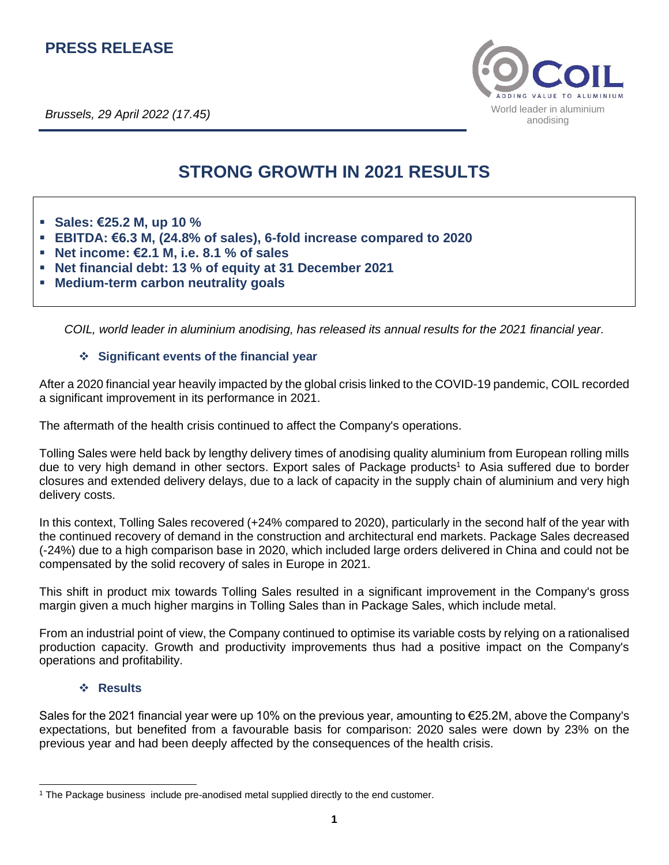# **PRESS RELEASE**

*Brussels, 29 April 2022 (17.45)*



# **STRONG GROWTH IN 2021 RESULTS**

- **Sales: €25.2 M, up 10 %**
- **EBITDA: €6.3 M, (24.8% of sales), 6-fold increase compared to 2020**
- **Net income: €2.1 M, i.e. 8.1 % of sales**
- **Net financial debt: 13 % of equity at 31 December 2021**
- **Medium-term carbon neutrality goals**

*COIL, world leader in aluminium anodising, has released its annual results for the 2021 financial year.*

# ❖ **Significant events of the financial year**

After a 2020 financial year heavily impacted by the global crisis linked to the COVID-19 pandemic, COIL recorded a significant improvement in its performance in 2021.

The aftermath of the health crisis continued to affect the Company's operations.

Tolling Sales were held back by lengthy delivery times of anodising quality aluminium from European rolling mills due to very high demand in other sectors. Export sales of Package products<sup>1</sup> to Asia suffered due to border closures and extended delivery delays, due to a lack of capacity in the supply chain of aluminium and very high delivery costs.

In this context, Tolling Sales recovered (+24% compared to 2020), particularly in the second half of the year with the continued recovery of demand in the construction and architectural end markets. Package Sales decreased (-24%) due to a high comparison base in 2020, which included large orders delivered in China and could not be compensated by the solid recovery of sales in Europe in 2021.

This shift in product mix towards Tolling Sales resulted in a significant improvement in the Company's gross margin given a much higher margins in Tolling Sales than in Package Sales, which include metal.

From an industrial point of view, the Company continued to optimise its variable costs by relying on a rationalised production capacity. Growth and productivity improvements thus had a positive impact on the Company's operations and profitability.

# ❖ **Results**

Sales for the 2021 financial year were up 10% on the previous year, amounting to €25.2M, above the Company's expectations, but benefited from a favourable basis for comparison: 2020 sales were down by 23% on the previous year and had been deeply affected by the consequences of the health crisis.

<sup>1</sup> The Package business include pre-anodised metal supplied directly to the end customer.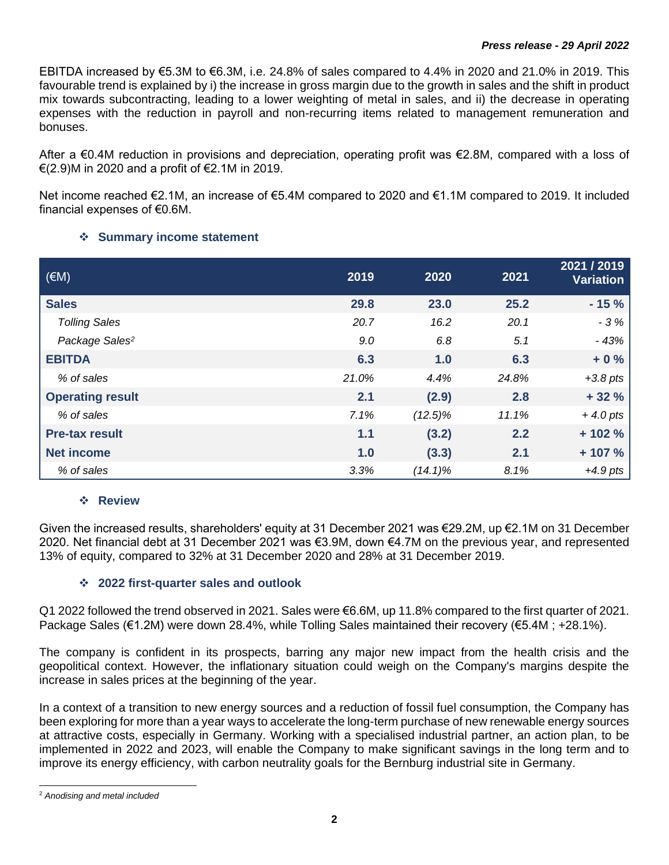EBITDA increased by €5.3M to €6.3M, i.e. 24.8% of sales compared to 4.4% in 2020 and 21.0% in 2019. This favourable trend is explained by i) the increase in gross margin due to the growth in sales and the shift in product mix towards subcontracting, leading to a lower weighting of metal in sales, and ii) the decrease in operating expenses with the reduction in payroll and non-recurring items related to management remuneration and bonuses.

After a €0.4M reduction in provisions and depreciation, operating profit was €2.8M, compared with a loss of €(2.9)M in 2020 and a profit of €2.1M in 2019.

Net income reached €2.1M, an increase of €5.4M compared to 2020 and €1.1M compared to 2019. It included financial expenses of €0.6M.

# ❖ **Summary income statement**

| $(\in M)$                  | 2019  | 2020       | 2021  | 2021 / 2019<br><b>Variation</b> |
|----------------------------|-------|------------|-------|---------------------------------|
| <b>Sales</b>               | 29.8  | 23.0       | 25.2  | $-15%$                          |
| <b>Tolling Sales</b>       | 20.7  | 16.2       | 20.1  | $-3%$                           |
| Package Sales <sup>2</sup> | 9.0   | 6.8        | 5.1   | $-43%$                          |
| <b>EBITDA</b>              | 6.3   | 1.0        | 6.3   | $+0%$                           |
| % of sales                 | 21.0% | 4.4%       | 24.8% | $+3.8$ pts                      |
| <b>Operating result</b>    | 2.1   | (2.9)      | 2.8   | $+32%$                          |
| % of sales                 | 7.1%  | $(12.5)\%$ | 11.1% | $+4.0$ pts                      |
| <b>Pre-tax result</b>      | 1.1   | (3.2)      | 2.2   | $+102%$                         |
| <b>Net income</b>          | 1.0   | (3.3)      | 2.1   | $+107%$                         |
| % of sales                 | 3.3%  | $(14.1)\%$ | 8.1%  | $+4.9$ pts                      |

# ❖ **Review**

Given the increased results, shareholders' equity at 31 December 2021 was €29.2M, up €2.1M on 31 December 2020. Net financial debt at 31 December 2021 was €3.9M, down €4.7M on the previous year, and represented 13% of equity, compared to 32% at 31 December 2020 and 28% at 31 December 2019.

# ❖ **2022 first-quarter sales and outlook**

Q1 2022 followed the trend observed in 2021. Sales were €6.6M, up 11.8% compared to the first quarter of 2021. Package Sales (€1.2M) were down 28.4%, while Tolling Sales maintained their recovery (€5.4M ; +28.1%).

The company is confident in its prospects, barring any major new impact from the health crisis and the geopolitical context. However, the inflationary situation could weigh on the Company's margins despite the increase in sales prices at the beginning of the year.

In a context of a transition to new energy sources and a reduction of fossil fuel consumption, the Company has been exploring for more than a year ways to accelerate the long-term purchase of new renewable energy sources at attractive costs, especially in Germany. Working with a specialised industrial partner, an action plan, to be implemented in 2022 and 2023, will enable the Company to make significant savings in the long term and to improve its energy efficiency, with carbon neutrality goals for the Bernburg industrial site in Germany.

<sup>2</sup> *Anodising and metal included*